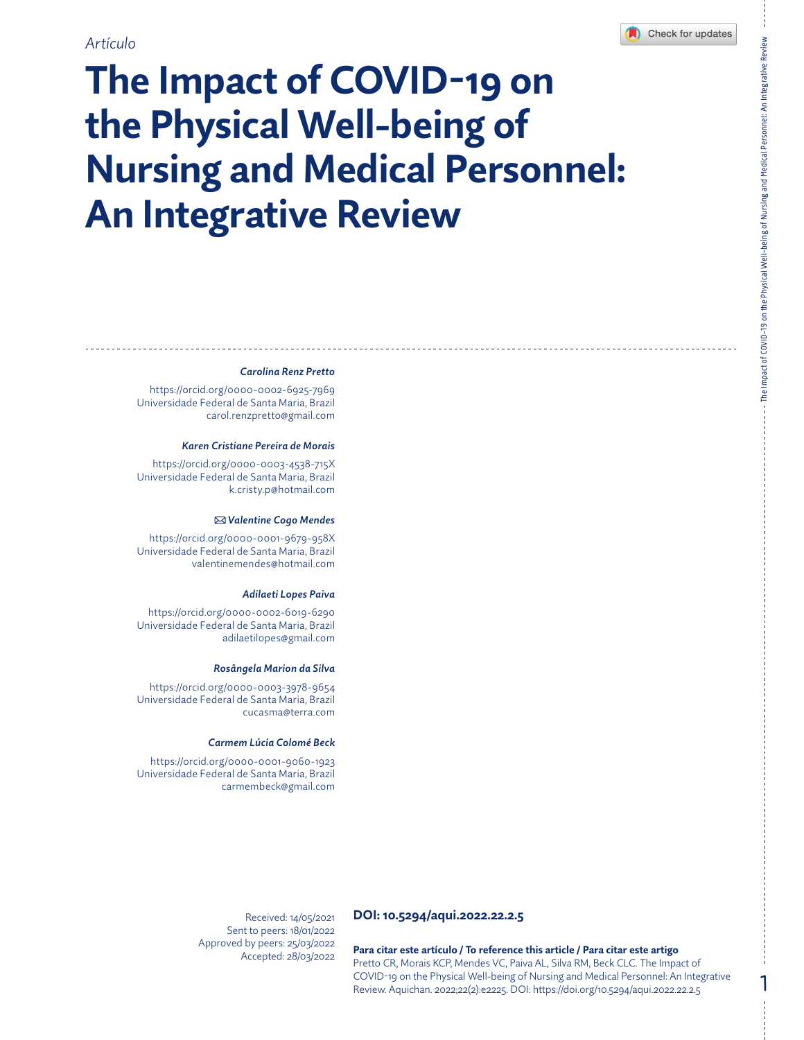# **The Impact of COVID-19 on the Physical Well-being of Nursing and Medical Personnel: An Integrative Review**

#### *Carolina Renz Pretto*

<https://orcid.org/0000-0002-6925-7969> Universidade Federal de Santa Maria, Brazil [carol.renzpretto@gmail.com](mailto:carol.renzpretto@gmail.com)

#### *Karen Cristiane Pereira de Morais*

<https://orcid.org/0000-0003-4538-715X> Universidade Federal de Santa Maria, Brazil [k.cristy.p@hotmail.com](mailto:k.cristy.p@hotmail.com)

#### *Valentine Cogo Mendes*

<https://orcid.org/0000-0001-9679-958X> Universidade Federal de Santa Maria, Brazil [valentinemendes@hotmail.com](mailto:valentinemendes@hotmail.com)

#### *Adilaeti Lopes Paiva*

<https://orcid.org/0000-0002-6019-6290> Universidade Federal de Santa Maria, Brazil [adilaetilopes@gmail.com](mailto:adilaetilopes@gmail.com)

#### *Rosângela Marion da Silva*

<https://orcid.org/0000-0003-3978-9654> Universidade Federal de Santa Maria, Brazil [cucasma@terra.com](mailto:cucasma@terra.com)

#### *Carmem Lúcia Colomé Beck*

<https://orcid.org/0000-0001-9060-1923> Universidade Federal de Santa Maria, Brazil [carmembeck@gmail.com](mailto:carmembeck@gmail.com)

> Received: 14/05/2021 Sent to peers: 18/01/2022 Approved by peers: 25/03/2022 Accepted: 28/03/2022

### **DOI: 10.5294/aqui.2022.22.2.5**

**Para citar este artículo / To reference this article / Para citar este artigo** Pretto CR, Morais KCP, Mendes VC, Paiva AL, Silva RM, Beck CLC. The Impact of COVID-19 on the Physical Well-being of Nursing and Medical Personnel: An Integrative Review. Aquichan. 2022;22(2):e2225. DOI:<https://doi.org/10.5294/aqui.2022.22.2.5>

1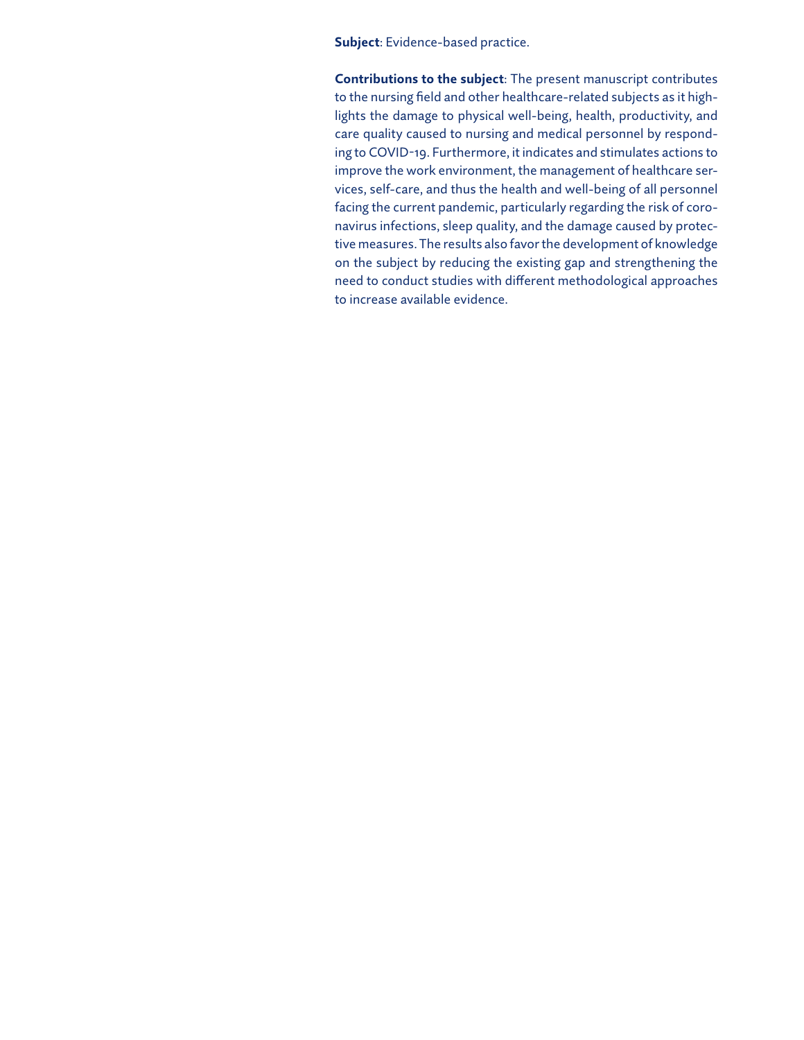**Subject**: Evidence-based practice.

**Contributions to the subject**: The present manuscript contributes to the nursing field and other healthcare-related subjects as it highlights the damage to physical well-being, health, productivity, and care quality caused to nursing and medical personnel by responding to COVID-19. Furthermore, it indicates and stimulates actions to improve the work environment, the management of healthcare services, self-care, and thus the health and well-being of all personnel facing the current pandemic, particularly regarding the risk of coronavirus infections, sleep quality, and the damage caused by protective measures. The results also favor the development of knowledge on the subject by reducing the existing gap and strengthening the need to conduct studies with different methodological approaches to increase available evidence.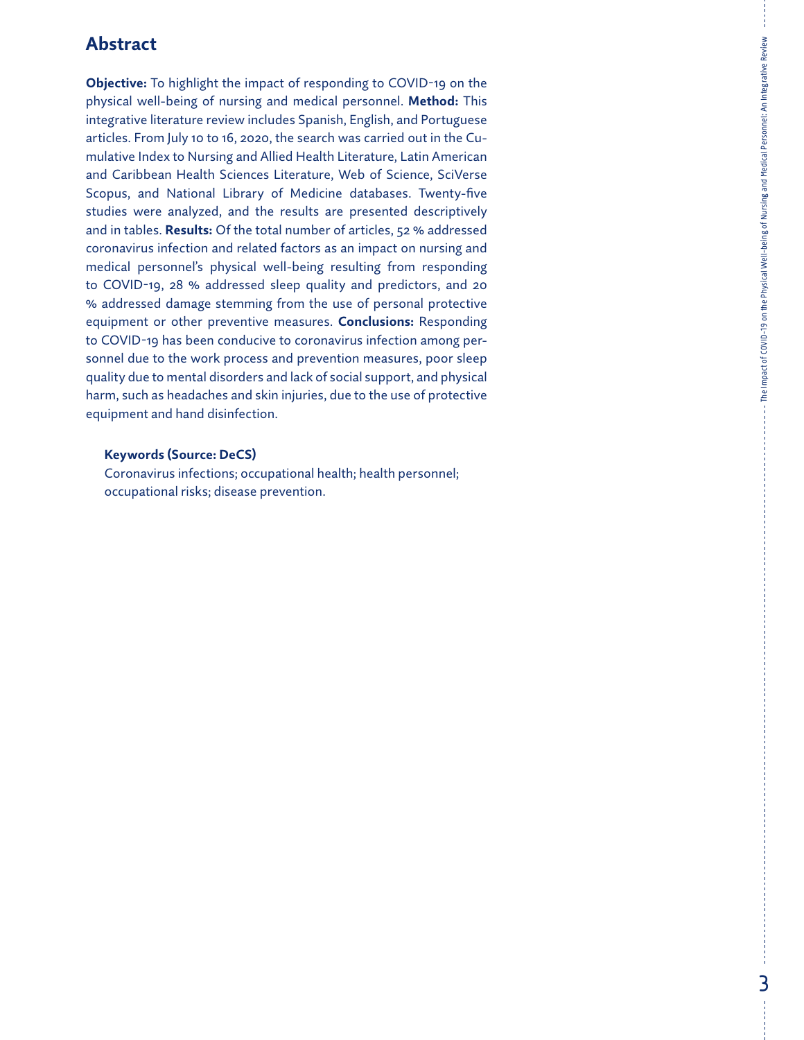### **Abstract**

**Objective:** To highlight the impact of responding to COVID-19 on the physical well-being of nursing and medical personnel. **Method:** This integrative literature review includes Spanish, English, and Portuguese articles. From July 10 to 16, 2020, the search was carried out in the Cumulative Index to Nursing and Allied Health Literature, Latin American and Caribbean Health Sciences Literature, Web of Science, SciVerse Scopus, and National Library of Medicine databases. Twenty-five studies were analyzed, and the results are presented descriptively and in tables. **Results:** Of the total number of articles, 52 % addressed coronavirus infection and related factors as an impact on nursing and medical personnel's physical well-being resulting from responding to COVID-19, 28 % addressed sleep quality and predictors, and 20 % addressed damage stemming from the use of personal protective equipment or other preventive measures. **Conclusions:** Responding to COVID-19 has been conducive to coronavirus infection among personnel due to the work process and prevention measures, poor sleep quality due to mental disorders and lack of social support, and physical harm, such as headaches and skin injuries, due to the use of protective equipment and hand disinfection.

### **Keywords (Source: DeCS)**

Coronavirus infections; occupational health; health personnel; occupational risks; disease prevention.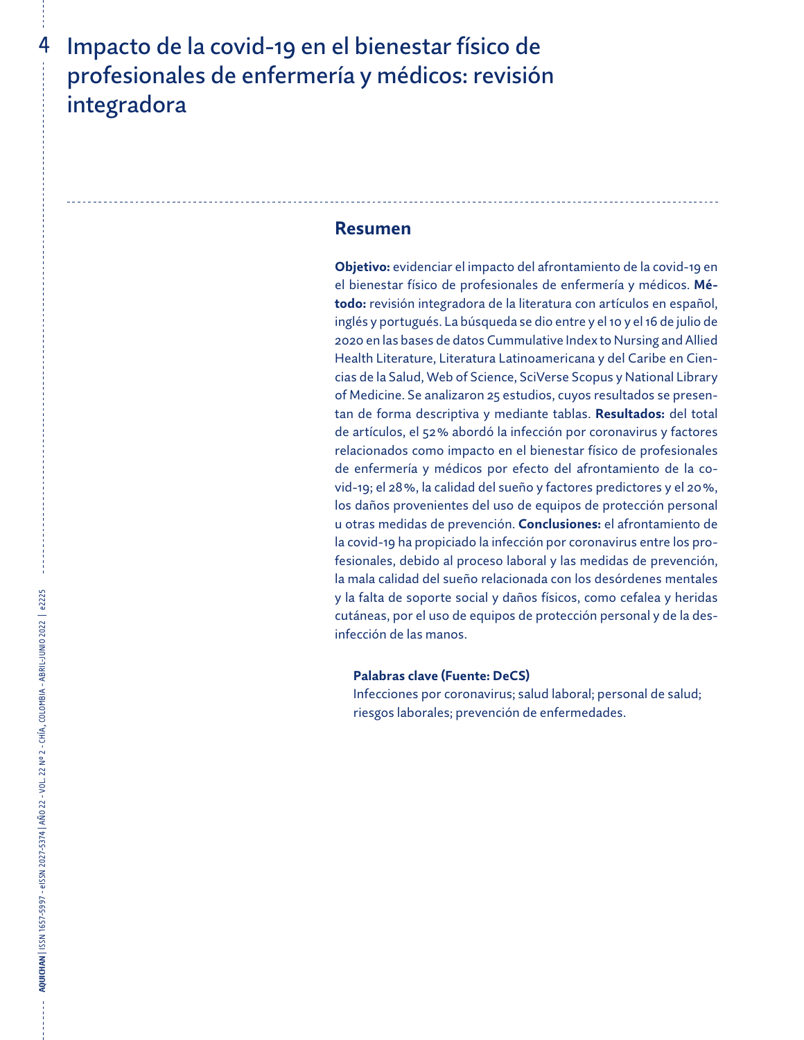## Impacto de la covid-19 en el bienestar físico de profesionales de enfermería y médicos: revisión integradora

### **Resumen**

**Objetivo:** evidenciar el impacto del afrontamiento de la covid-19 en el bienestar físico de profesionales de enfermería y médicos. **Método:** revisión integradora de la literatura con artículos en español, inglés y portugués. La búsqueda se dio entre y el 10 y el 16 de julio de 2020 en las bases de datos Cummulative Index to Nursing and Allied Health Literature, Literatura Latinoamericana y del Caribe en Ciencias de la Salud, Web of Science, SciVerse Scopus y National Library of Medicine. Se analizaron 25 estudios, cuyos resultados se presentan de forma descriptiva y mediante tablas. **Resultados:** del total de artículos, el 52% abordó la infección por coronavirus y factores relacionados como impacto en el bienestar físico de profesionales de enfermería y médicos por efecto del afrontamiento de la covid-19; el 28%, la calidad del sueño y factores predictores y el 20%, los daños provenientes del uso de equipos de protección personal u otras medidas de prevención. **Conclusiones:** el afrontamiento de la covid-19 ha propiciado la infección por coronavirus entre los profesionales, debido al proceso laboral y las medidas de prevención, la mala calidad del sueño relacionada con los desórdenes mentales y la falta de soporte social y daños físicos, como cefalea y heridas cutáneas, por el uso de equipos de protección personal y de la desinfección de las manos.

### **Palabras clave (Fuente: DeCS)**

Infecciones por coronavirus; salud laboral; personal de salud; riesgos laborales; prevención de enfermedades.

4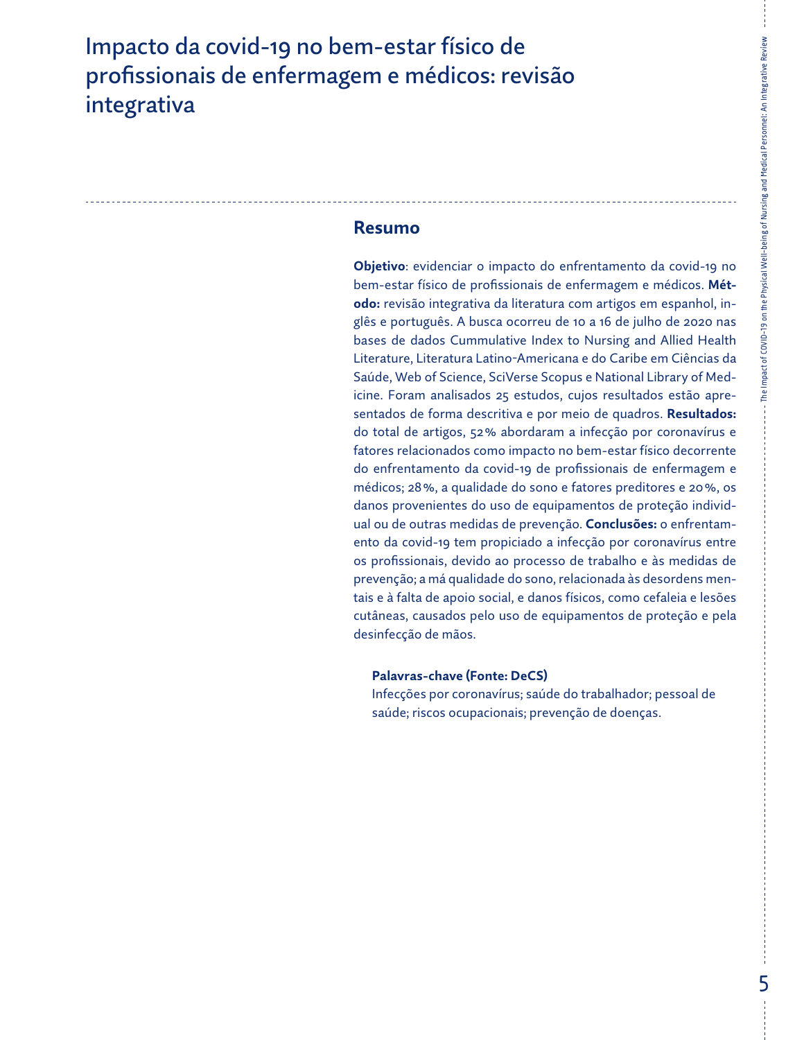## Impacto da covid-19 no bem-estar físico de profissionais de enfermagem e médicos: revisão integrativa

### **Resumo**

**Objetivo**: evidenciar o impacto do enfrentamento da covid-19 no bem-estar físico de profissionais de enfermagem e médicos. **Método:** revisão integrativa da literatura com artigos em espanhol, inglês e português. A busca ocorreu de 10 a 16 de julho de 2020 nas bases de dados Cummulative Index to Nursing and Allied Health Literature, Literatura Latino-Americana e do Caribe em Ciências da Saúde, Web of Science, SciVerse Scopus e National Library of Medicine. Foram analisados 25 estudos, cujos resultados estão apresentados de forma descritiva e por meio de quadros. **Resultados:**  do total de artigos, 52% abordaram a infecção por coronavírus e fatores relacionados como impacto no bem-estar físico decorrente do enfrentamento da covid-19 de profissionais de enfermagem e médicos; 28%, a qualidade do sono e fatores preditores e 20%, os danos provenientes do uso de equipamentos de proteção individual ou de outras medidas de prevenção. **Conclusões:** o enfrentamento da covid-19 tem propiciado a infecção por coronavírus entre os profissionais, devido ao processo de trabalho e às medidas de prevenção; a má qualidade do sono, relacionada às desordens mentais e à falta de apoio social, e danos físicos, como cefaleia e lesões cutâneas, causados pelo uso de equipamentos de proteção e pela desinfecção de mãos.

### **Palavras-chave (Fonte: DeCS)**

Infecções por coronavírus; saúde do trabalhador; pessoal de saúde; riscos ocupacionais; prevenção de doenças.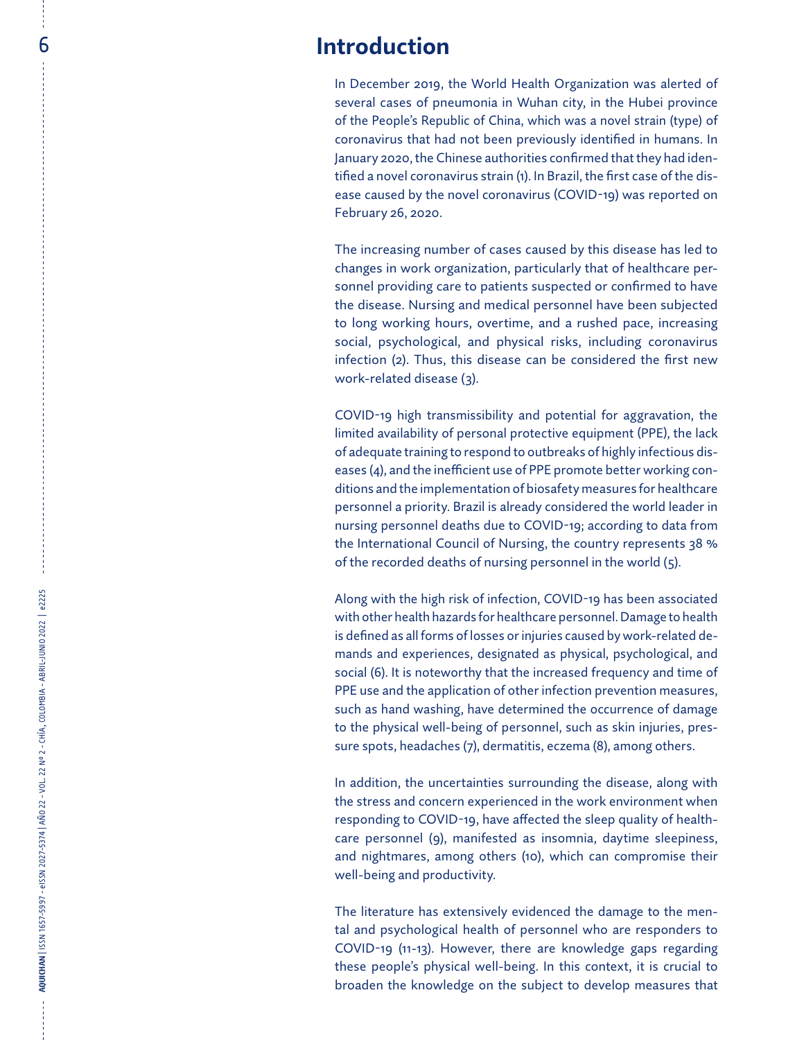In December 2019, the World Health Organization was alerted of several cases of pneumonia in Wuhan city, in the Hubei province of the People's Republic of China, which was a novel strain (type) of coronavirus that had not been previously identified in humans. In January 2020, the Chinese authorities confirmed that they had iden tified a novel coronavirus strain (1). In Brazil, the first case of the dis ease caused by the novel coronavirus (COVID-19) was reported on February 26, 2020.

The increasing number of cases caused by this disease has led to changes in work organization, particularly that of healthcare per sonnel providing care to patients suspected or confirmed to have the disease. Nursing and medical personnel have been subjected to long working hours, overtime, and a rushed pace, increasing social, psychological, and physical risks, including coronavirus infection (2). Thus, this disease can be considered the first new work-related disease (3).

**ACCES INTroduction**<br>
In December 2003,<br>
sortan Case of phere and provident and the street Reputation and the street Reputation and the street Reputation and the street Reputation of the Petruary 26, 2020.<br>
The increase in COVID-19 high transmissibility and potential for aggravation, the limited availability of personal protective equipment (PPE), the lack of adequate training to respond to outbreaks of highly infectious dis eases (4), and the inefficient use of PPE promote better working con ditions and the implementation of biosafety measures for healthcare personnel a priority. Brazil is already considered the world leader in nursing personnel deaths due to COVID-19; according to data from the International Council of Nursing, the country represents 38 % of the recorded deaths of nursing personnel in the world (5).

Along with the high risk of infection, COVID-19 has been associated with other health hazards for healthcare personnel. Damage to health is defined as all forms of losses or injuries caused by work-related de mands and experiences, designated as physical, psychological, and social (6). It is noteworthy that the increased frequency and time of PPE use and the application of other infection prevention measures, such as hand washing, have determined the occurrence of damage to the physical well-being of personnel, such as skin injuries, pres sure spots, headaches (7), dermatitis, eczema (8), among others.

In addition, the uncertainties surrounding the disease, along with the stress and concern experienced in the work environment when responding to COVID-19, have affected the sleep quality of health care personnel (9), manifested as insomnia, daytime sleepiness, and nightmares, among others (10), which can compromise their well-being and productivity.

The literature has extensively evidenced the damage to the men tal and psychological health of personnel who are responders to COVID-19 (11-13). However, there are knowledge gaps regarding these people's physical well-being. In this context, it is crucial to broaden the knowledge on the subject to develop measures that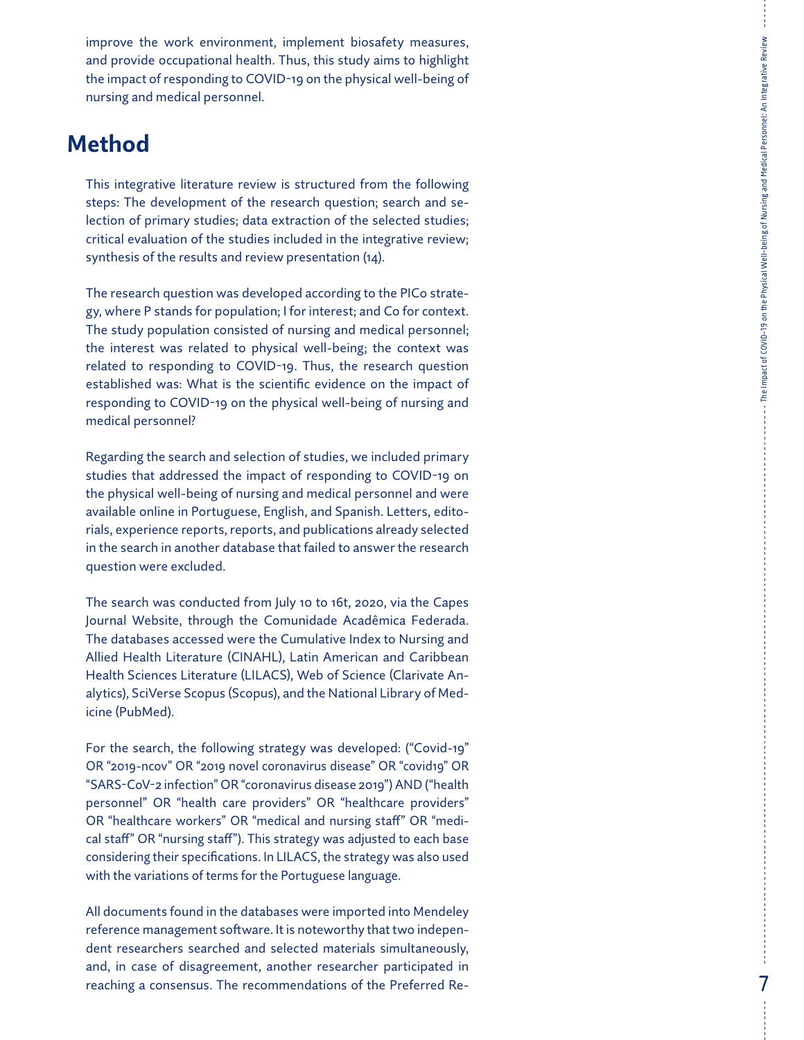improve the work environment, implement biosafety measures, and provide occupational health. Thus, this study aims to highlight the impact of responding to COVID-19 on the physical well-being of nursing and medical personnel.

## **Method**

This integrative literature review is structured from the following steps: The development of the research question; search and se lection of primary studies; data extraction of the selected studies; critical evaluation of the studies included in the integrative review; synthesis of the results and review presentation (14).

The research question was developed according to the PICo strate gy, where P stands for population; I for interest; and Co for context. The study population consisted of nursing and medical personnel; the interest was related to physical well-being; the context was related to responding to COVID-19. Thus, the research question established was: What is the scientific evidence on the impact of responding to COVID-19 on the physical well-being of nursing and medical personnel?

Regarding the search and selection of studies, we included primary studies that addressed the impact of responding to COVID-19 on the physical well-being of nursing and medical personnel and were available online in Portuguese, English, and Spanish. Letters, edito rials, experience reports, reports, and publications already selected in the search in another database that failed to answer the research question were excluded.

The search was conducted from July 10 to 16t, 2020, via the Capes Journal Website, through the Comunidade Acadêmica Federada. The databases accessed were the Cumulative Index to Nursing and Allied Health Literature (CINAHL), Latin American and Caribbean Health Sciences Literature (LILACS), Web of Science (Clarivate An alytics), SciVerse Scopus (Scopus), and the National Library of Med icine (PubMed).

For the search, the following strategy was developed: ("Covid-19" OR "2019-ncov" OR "2019 novel coronavirus disease" OR "covid19" OR "SARS-CoV-2 infection" OR "coronavirus disease 2019") AND ("health personnel" OR "health care providers" OR "healthcare providers" OR "healthcare workers" OR "medical and nursing staff" OR "medi cal staff" OR "nursing staff"). This strategy was adjusted to each base considering their specifications. In LILACS, the strategy was also used with the variations of terms for the Portuguese language.

All documents found in the databases were imported into Mendeley reference management software. It is noteworthy that two indepen dent researchers searched and selected materials simultaneously, and, in case of disagreement, another researcher participated in reaching a consensus. The recommendations of the Preferred Re -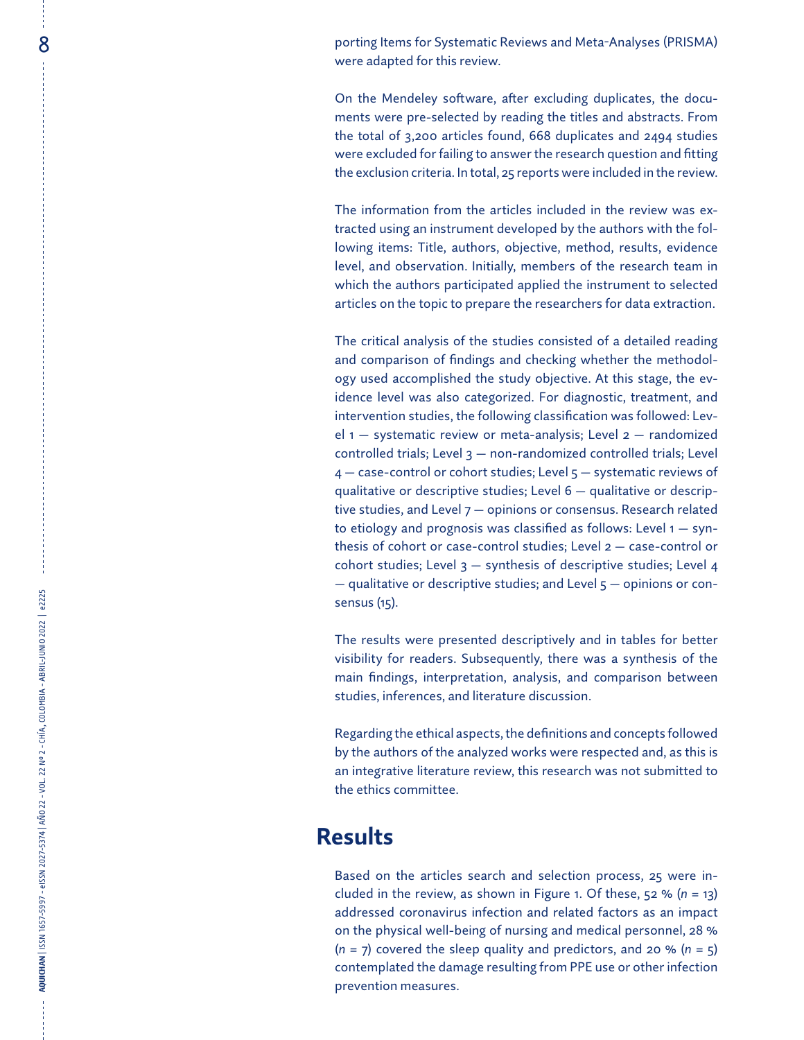8 porting Items for Systematic Reviews and Meta-Analyses (PRISMA) were adapted for this review.

> On the Mendeley software, after excluding duplicates, the documents were pre-selected by reading the titles and abstracts. From the total of 3,200 articles found, 668 duplicates and 2494 studies were excluded for failing to answer the research question and fitting the exclusion criteria. In total, 25 reports were included in the review.

> The information from the articles included in the review was extracted using an instrument developed by the authors with the following items: Title, authors, objective, method, results, evidence level, and observation. Initially, members of the research team in which the authors participated applied the instrument to selected articles on the topic to prepare the researchers for data extraction.

> The critical analysis of the studies consisted of a detailed reading and comparison of findings and checking whether the methodology used accomplished the study objective. At this stage, the evidence level was also categorized. For diagnostic, treatment, and intervention studies, the following classification was followed: Level  $1 -$  systematic review or meta-analysis; Level  $2 -$  randomized controlled trials; Level 3 — non-randomized controlled trials; Level 4 — case-control or cohort studies; Level 5 — systematic reviews of qualitative or descriptive studies; Level 6 — qualitative or descriptive studies, and Level 7 — opinions or consensus. Research related to etiology and prognosis was classified as follows: Level 1 — synthesis of cohort or case-control studies; Level 2 — case-control or cohort studies; Level  $3$  – synthesis of descriptive studies; Level 4 — qualitative or descriptive studies; and Level 5 — opinions or consensus (15).

> The results were presented descriptively and in tables for better visibility for readers. Subsequently, there was a synthesis of the main findings, interpretation, analysis, and comparison between studies, inferences, and literature discussion.

> Regarding the ethical aspects, the definitions and concepts followed by the authors of the analyzed works were respected and, as this is an integrative literature review, this research was not submitted to the ethics committee.

## **Results**

Based on the articles search and selection process, 25 were included in the review, as shown in Figure 1. Of these, 52 % (*n* = 13) addressed coronavirus infection and related factors as an impact on the physical well-being of nursing and medical personnel, 28 % (*n* = 7) covered the sleep quality and predictors, and 20 % (*n* = 5) contemplated the damage resulting from PPE use or other infection prevention measures.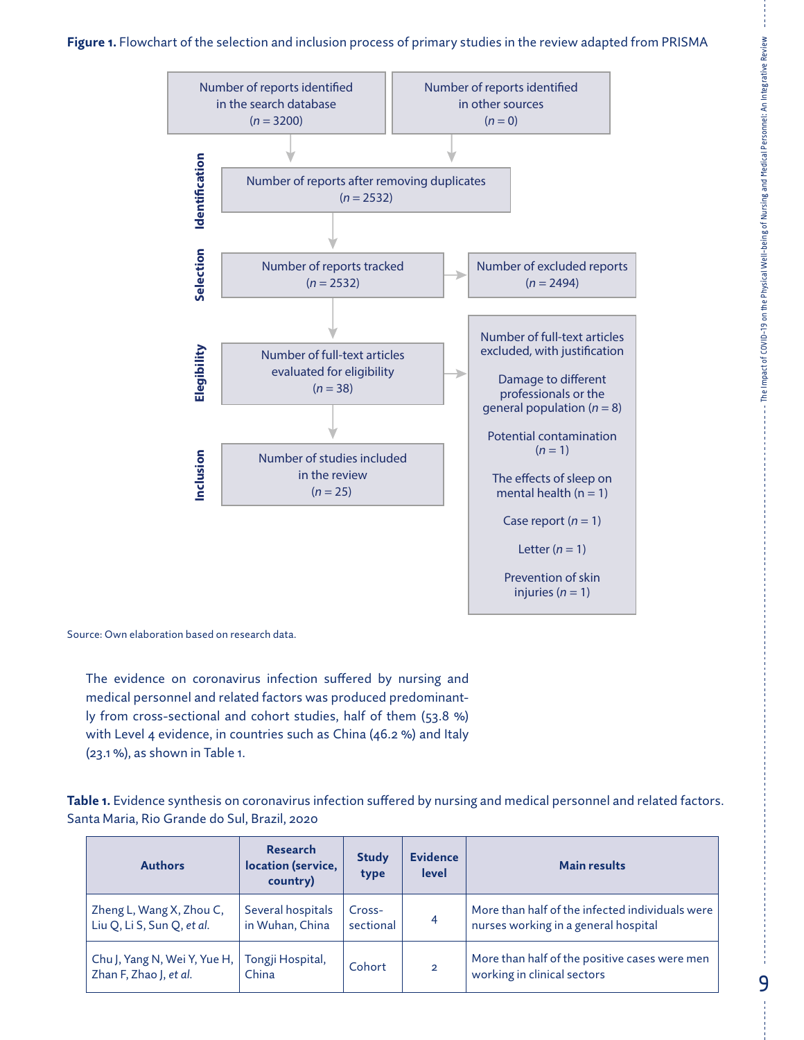### **Figure 1.** Flowchart of the selection and inclusion process of primary studies in the review adapted from PRISMA



Source: Own elaboration based on research data.

The evidence on coronavirus infection suffered by nursing and medical personnel and related factors was produced predominantly from cross-sectional and cohort studies, half of them (53.8 %) with Level 4 evidence, in countries such as China (46.2 %) and Italy (23.1 %), as shown in Table 1.

**Table 1.** Evidence synthesis on coronavirus infection suffered by nursing and medical personnel and related factors. Santa Maria, Rio Grande do Sul, Brazil, 2020

| <b>Authors</b>                                         | <b>Research</b><br>location (service,<br>country) | <b>Study</b><br>type | <b>Evidence</b><br><b>level</b> | <b>Main results</b>                                                                     |
|--------------------------------------------------------|---------------------------------------------------|----------------------|---------------------------------|-----------------------------------------------------------------------------------------|
| Zheng L, Wang X, Zhou C,<br>Liu Q, Li S, Sun Q, et al. | Several hospitals<br>in Wuhan, China              | Cross-<br>sectional  | 4                               | More than half of the infected individuals were<br>nurses working in a general hospital |
| Chu J, Yang N, Wei Y, Yue H,<br>Zhan F, Zhao J, et al. | Tongji Hospital,<br>China                         | Cohort               | $\overline{2}$                  | More than half of the positive cases were men<br>working in clinical sectors            |

9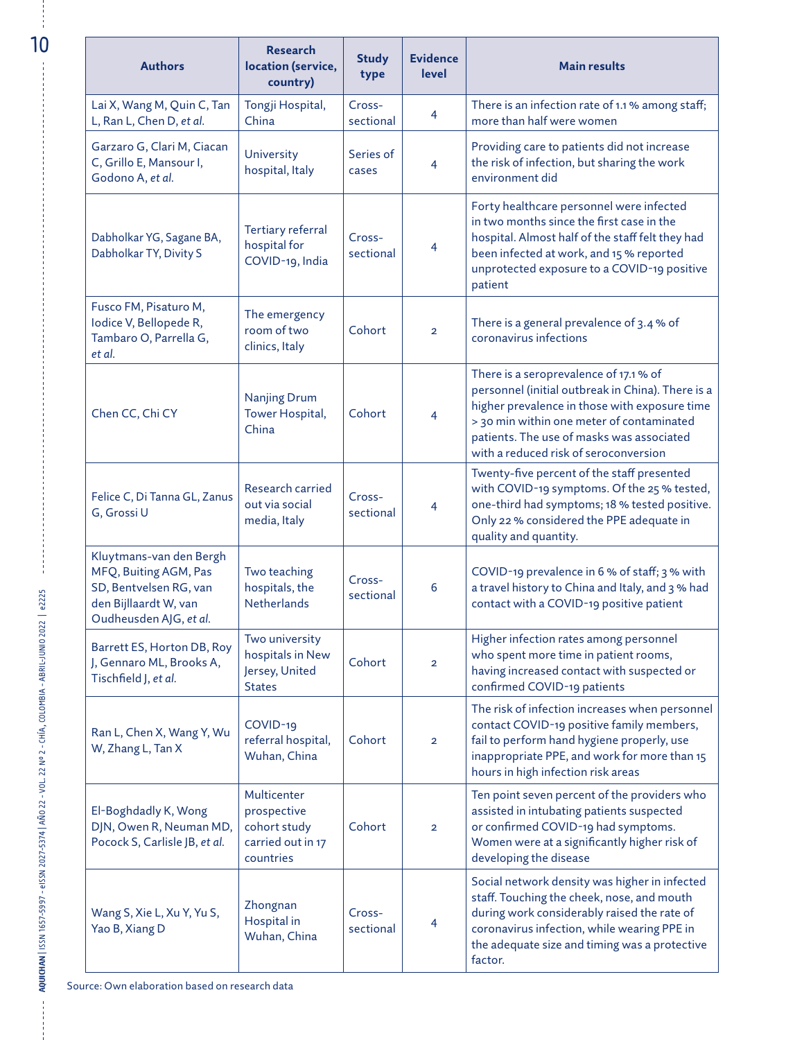| <b>Authors</b>                                                                                                                | <b>Research</b><br>location (service,<br>country)                            | <b>Study</b><br>type | <b>Evidence</b><br>level | <b>Main results</b>                                                                                                                                                                                                                                                             |
|-------------------------------------------------------------------------------------------------------------------------------|------------------------------------------------------------------------------|----------------------|--------------------------|---------------------------------------------------------------------------------------------------------------------------------------------------------------------------------------------------------------------------------------------------------------------------------|
| Lai X, Wang M, Quin C, Tan<br>L, Ran L, Chen D, et al.                                                                        | Tongji Hospital,<br>China                                                    | Cross-<br>sectional  | $\overline{4}$           | There is an infection rate of 1.1 % among staff;<br>more than half were women                                                                                                                                                                                                   |
| Garzaro G, Clari M, Ciacan<br>C, Grillo E, Mansour I,<br>Godono A, et al.                                                     | University<br>hospital, Italy                                                | Series of<br>cases   | $\overline{4}$           | Providing care to patients did not increase<br>the risk of infection, but sharing the work<br>environment did                                                                                                                                                                   |
| Dabholkar YG, Sagane BA,<br>Dabholkar TY, Divity S                                                                            | Tertiary referral<br>hospital for<br>COVID-19, India                         | Cross-<br>sectional  | $\overline{4}$           | Forty healthcare personnel were infected<br>in two months since the first case in the<br>hospital. Almost half of the staff felt they had<br>been infected at work, and 15 % reported<br>unprotected exposure to a COVID-19 positive<br>patient                                 |
| Fusco FM, Pisaturo M,<br>Iodice V, Bellopede R,<br>Tambaro O, Parrella G,<br>et al.                                           | The emergency<br>room of two<br>clinics, Italy                               | Cohort               | $\overline{2}$           | There is a general prevalence of 3.4 % of<br>coronavirus infections                                                                                                                                                                                                             |
| Chen CC, Chi CY                                                                                                               | Nanjing Drum<br>Tower Hospital,<br>China                                     | Cohort               | $\overline{4}$           | There is a seroprevalence of 17.1 % of<br>personnel (initial outbreak in China). There is a<br>higher prevalence in those with exposure time<br>> 30 min within one meter of contaminated<br>patients. The use of masks was associated<br>with a reduced risk of seroconversion |
| Felice C, Di Tanna GL, Zanus<br>G, Grossi U                                                                                   | Research carried<br>out via social<br>media, Italy                           | Cross-<br>sectional  | $\overline{4}$           | Twenty-five percent of the staff presented<br>with COVID-19 symptoms. Of the 25 % tested,<br>one-third had symptoms; 18 % tested positive.<br>Only 22 % considered the PPE adequate in<br>quality and quantity.                                                                 |
| Kluytmans-van den Bergh<br>MFQ, Buiting AGM, Pas<br>SD, Bentvelsen RG, van<br>den Bijllaardt W, van<br>Oudheusden AJG, et al. | Two teaching<br>hospitals, the<br><b>Netherlands</b>                         | Cross-<br>sectional  | 6                        | COVID-19 prevalence in 6 % of staff; 3 % with<br>a travel history to China and Italy, and 3 % had<br>contact with a COVID-19 positive patient                                                                                                                                   |
| Barrett ES, Horton DB, Roy<br>J, Gennaro ML, Brooks A,<br>Tischfield J, et al.                                                | Two university<br>hospitals in New<br>Jersey, United<br><b>States</b>        | Cohort               | $\overline{2}$           | Higher infection rates among personnel<br>who spent more time in patient rooms,<br>having increased contact with suspected or<br>confirmed COVID-19 patients                                                                                                                    |
| Ran L, Chen X, Wang Y, Wu<br>W, Zhang L, Tan X                                                                                | COVID-19<br>referral hospital,<br>Wuhan, China                               | Cohort               | $\overline{2}$           | The risk of infection increases when personnel<br>contact COVID-19 positive family members,<br>fail to perform hand hygiene properly, use<br>inappropriate PPE, and work for more than 15<br>hours in high infection risk areas                                                 |
| El-Boghdadly K, Wong<br>DJN, Owen R, Neuman MD,<br>Pocock S, Carlisle JB, et al.                                              | Multicenter<br>prospective<br>cohort study<br>carried out in 17<br>countries | Cohort               | $\overline{2}$           | Ten point seven percent of the providers who<br>assisted in intubating patients suspected<br>or confirmed COVID-19 had symptoms.<br>Women were at a significantly higher risk of<br>developing the disease                                                                      |
| Wang S, Xie L, Xu Y, Yu S,<br>Yao B, Xiang D                                                                                  | Zhongnan<br>Hospital in<br>Wuhan, China                                      | Cross-<br>sectional  | $\overline{4}$           | Social network density was higher in infected<br>staff. Touching the cheek, nose, and mouth<br>during work considerably raised the rate of<br>coronavirus infection, while wearing PPE in<br>the adequate size and timing was a protective<br>factor.                           |

 $\frac{1}{2}$ 

**AQUICHAN** | ISSN 1657-5997 - eISSN 2027-5374 | AÑO 22 - VOL. 22 Nº 2 - CHÍA, COLOMBIA - ABRIL-JUNIO 2022 | e2225

AQUICHAN | ISSN 1657-5997 - eISSN 2027-5374 | AÑO 22 - VOL. 22 Nº 2 - CHÍA, COLOMBIA - ABRIL-JUNIO 2022 | e225

 $\frac{1}{2}$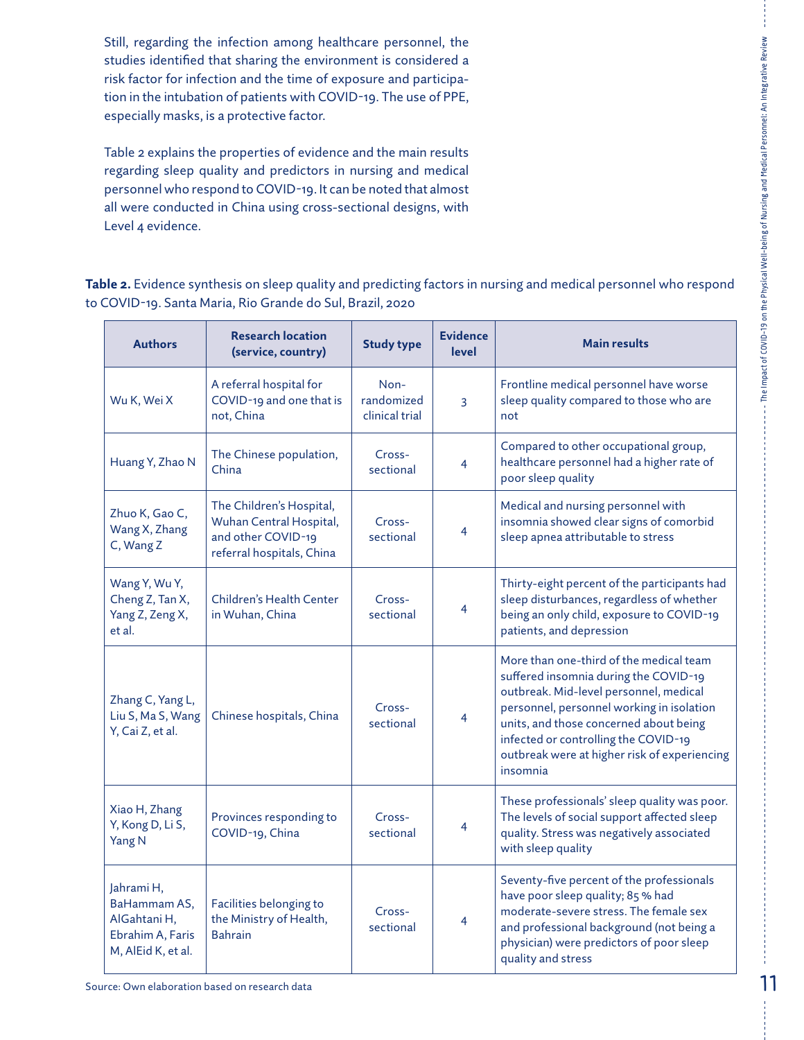Still, regarding the infection among healthcare personnel, the studies identified that sharing the environment is considered a risk factor for infection and the time of exposure and participation in the intubation of patients with COVID-19. The use of PPE, especially masks, is a protective factor.

Table 2 explains the properties of evidence and the main results regarding sleep quality and predictors in nursing and medical personnel who respond to COVID-19. It can be noted that almost all were conducted in China using cross-sectional designs, with Level 4 evidence.

**Table 2.** Evidence synthesis on sleep quality and predicting factors in nursing and medical personnel who respond to COVID-19. Santa Maria, Rio Grande do Sul, Brazil, 2020

| <b>Authors</b>                                                                       | <b>Research location</b><br>(service, country)                                                         | <b>Study type</b>                    | <b>Evidence</b><br>level | <b>Main results</b>                                                                                                                                                                                                                                                                                                   |
|--------------------------------------------------------------------------------------|--------------------------------------------------------------------------------------------------------|--------------------------------------|--------------------------|-----------------------------------------------------------------------------------------------------------------------------------------------------------------------------------------------------------------------------------------------------------------------------------------------------------------------|
| Wu K, Wei X                                                                          | A referral hospital for<br>COVID-19 and one that is<br>not, China                                      | Non-<br>randomized<br>clinical trial | 3                        | Frontline medical personnel have worse<br>sleep quality compared to those who are<br>not                                                                                                                                                                                                                              |
| Huang Y, Zhao N                                                                      | The Chinese population,<br>China                                                                       | Cross-<br>sectional                  | 4                        | Compared to other occupational group,<br>healthcare personnel had a higher rate of<br>poor sleep quality                                                                                                                                                                                                              |
| Zhuo K, Gao C,<br>Wang X, Zhang<br>C, Wang Z                                         | The Children's Hospital,<br>Wuhan Central Hospital,<br>and other COVID-19<br>referral hospitals, China | Cross-<br>sectional                  | 4                        | Medical and nursing personnel with<br>insomnia showed clear signs of comorbid<br>sleep apnea attributable to stress                                                                                                                                                                                                   |
| Wang Y, Wu Y,<br>Cheng Z, Tan X,<br>Yang Z, Zeng X,<br>et al.                        | Children's Health Center<br>in Wuhan, China                                                            | Cross-<br>sectional                  | 4                        | Thirty-eight percent of the participants had<br>sleep disturbances, regardless of whether<br>being an only child, exposure to COVID-19<br>patients, and depression                                                                                                                                                    |
| Zhang C, Yang L,<br>Liu S, Ma S, Wang<br>Y, Cai Z, et al.                            | Chinese hospitals, China                                                                               | Cross-<br>sectional                  | 4                        | More than one-third of the medical team<br>suffered insomnia during the COVID-19<br>outbreak. Mid-level personnel, medical<br>personnel, personnel working in isolation<br>units, and those concerned about being<br>infected or controlling the COVID-19<br>outbreak were at higher risk of experiencing<br>insomnia |
| Xiao H, Zhang<br>Y, Kong D, Li S,<br>Yang N                                          | Provinces responding to<br>COVID-19, China                                                             | Cross-<br>sectional                  | 4                        | These professionals' sleep quality was poor.<br>The levels of social support affected sleep<br>quality. Stress was negatively associated<br>with sleep quality                                                                                                                                                        |
| Jahrami H,<br>BaHammam AS,<br>AlGahtani H.<br>Ebrahim A, Faris<br>M, AlEid K, et al. | Facilities belonging to<br>the Ministry of Health,<br><b>Bahrain</b>                                   | Cross-<br>sectional                  | 4                        | Seventy-five percent of the professionals<br>have poor sleep quality; 85 % had<br>moderate-severe stress. The female sex<br>and professional background (not being a<br>physician) were predictors of poor sleep<br>quality and stress                                                                                |

The Impact of COVID-19 on the Physical Well-being of Nursing and Medical Personnel: An Integrative Review

The Impact of COVID-19 on the Physical Well-being of Nursing and Medical Personnel: An Integrative Review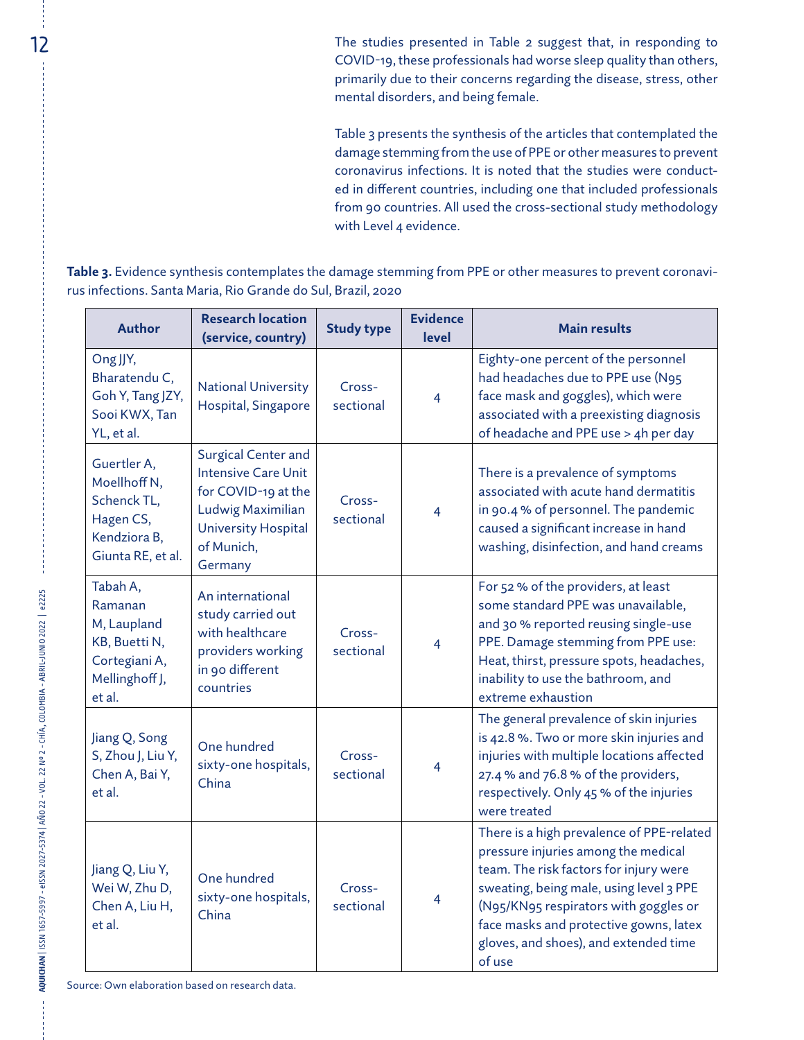12 The studies presented in Table 2 suggest that, in responding to COVID-19, these professionals had worse sleep quality than others, primarily due to their concerns regarding the disease, stress, other mental disorders, and being female.

> Table 3 presents the synthesis of the articles that contemplated the damage stemming from the use of PPE or other measures to prevent coronavirus infections. It is noted that the studies were conducted in different countries, including one that included professionals from 90 countries. All used the cross-sectional study methodology with Level 4 evidence.

**Table 3.** Evidence synthesis contemplates the damage stemming from PPE or other measures to prevent coronavirus infections. Santa Maria, Rio Grande do Sul, Brazil, 2020

| <b>Author</b>                                                                                    | <b>Research location</b><br>(service, country)                                                                                                       | <b>Study type</b>   | <b>Evidence</b><br>level | <b>Main results</b>                                                                                                                                                                                                                                                                                         |
|--------------------------------------------------------------------------------------------------|------------------------------------------------------------------------------------------------------------------------------------------------------|---------------------|--------------------------|-------------------------------------------------------------------------------------------------------------------------------------------------------------------------------------------------------------------------------------------------------------------------------------------------------------|
| Ong JJY,<br>Bharatendu C,<br>Goh Y, Tang JZY,<br>Sooi KWX, Tan<br>YL, et al.                     | <b>National University</b><br>Hospital, Singapore                                                                                                    | Cross-<br>sectional | 4                        | Eighty-one percent of the personnel<br>had headaches due to PPE use (N95<br>face mask and goggles), which were<br>associated with a preexisting diagnosis<br>of headache and PPE use > 4h per day                                                                                                           |
| Guertler A,<br>Moellhoff N,<br>Schenck TL,<br>Hagen CS,<br>Kendziora B,<br>Giunta RE, et al.     | Surgical Center and<br><b>Intensive Care Unit</b><br>for COVID-19 at the<br>Ludwig Maximilian<br><b>University Hospital</b><br>of Munich,<br>Germany | Cross-<br>sectional | 4                        | There is a prevalence of symptoms<br>associated with acute hand dermatitis<br>in 90.4 % of personnel. The pandemic<br>caused a significant increase in hand<br>washing, disinfection, and hand creams                                                                                                       |
| Tabah A,<br>Ramanan<br>M, Laupland<br>KB, Buetti N,<br>Cortegiani A,<br>Mellinghoff J,<br>et al. | An international<br>study carried out<br>with healthcare<br>providers working<br>in 90 different<br>countries                                        | Cross-<br>sectional | 4                        | For 52 % of the providers, at least<br>some standard PPE was unavailable,<br>and 30 % reported reusing single-use<br>PPE. Damage stemming from PPE use:<br>Heat, thirst, pressure spots, headaches,<br>inability to use the bathroom, and<br>extreme exhaustion                                             |
| Jiang Q, Song<br>S, Zhou J, Liu Y,<br>Chen A, Bai Y,<br>et al.                                   | One hundred<br>sixty-one hospitals,<br>China                                                                                                         | Cross-<br>sectional | 4                        | The general prevalence of skin injuries<br>is 42.8 %. Two or more skin injuries and<br>injuries with multiple locations affected<br>27.4 % and 76.8 % of the providers,<br>respectively. Only 45 % of the injuries<br>were treated                                                                          |
| Jiang Q, Liu Y,<br>Wei W, Zhu D,<br>Chen A, Liu H,<br>et al.                                     | One hundred<br>sixty-one hospitals,<br>China                                                                                                         | Cross-<br>sectional | 4                        | There is a high prevalence of PPE-related<br>pressure injuries among the medical<br>team. The risk factors for injury were<br>sweating, being male, using level 3 PPE<br>(N95/KN95 respirators with goggles or<br>face masks and protective gowns, latex<br>gloves, and shoes), and extended time<br>of use |

Source: Own elaboration based on research data.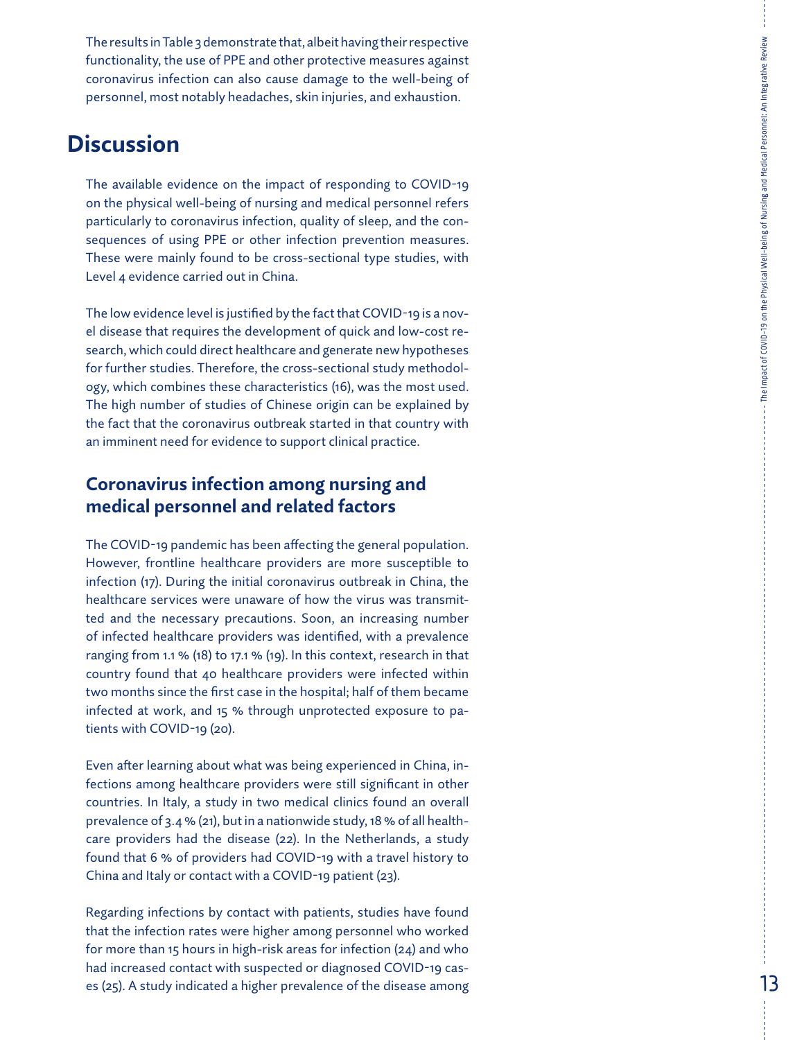The results in Table 3 demonstrate that, albeit having their respective functionality, the use of PPE and other protective measures against coronavirus infection can also cause damage to the well-being of personnel, most notably headaches, skin injuries, and exhaustion.

## **Discussion**

The available evidence on the impact of responding to COVID-19 on the physical well-being of nursing and medical personnel refers particularly to coronavirus infection, quality of sleep, and the con sequences of using PPE or other infection prevention measures. These were mainly found to be cross-sectional type studies, with Level 4 evidence carried out in China.

The low evidence level is justified by the fact that COVID-19 is a nov el disease that requires the development of quick and low-cost re search, which could direct healthcare and generate new hypotheses for further studies. Therefore, the cross-sectional study methodol ogy, which combines these characteristics (16), was the most used. The high number of studies of Chinese origin can be explained by the fact that the coronavirus outbreak started in that country with an imminent need for evidence to support clinical practice.

## **Coronavirus infection among nursing and medical personnel and related factors**

The COVID-19 pandemic has been affecting the general population. However, frontline healthcare providers are more susceptible to infection (17). During the initial coronavirus outbreak in China, the healthcare services were unaware of how the virus was transmit ted and the necessary precautions. Soon, an increasing number of infected healthcare providers was identified, with a prevalence ranging from 1.1 % (18) to 17.1 % (19). In this context, research in that country found that 40 healthcare providers were infected within two months since the first case in the hospital; half of them became infected at work, and 15 % through unprotected exposure to pa tients with COVID-19 (20).

Even after learning about what was being experienced in China, in fections among healthcare providers were still significant in other countries. In Italy, a study in two medical clinics found an overall prevalence of 3.4 % (21), but in a nationwide study, 18 % of all health care providers had the disease (22). In the Netherlands, a study found that 6 % of providers had COVID-19 with a travel history to China and Italy or contact with a COVID-19 patient (23).

Regarding infections by contact with patients, studies have found that the infection rates were higher among personnel who worked for more than 15 hours in high-risk areas for infection (24) and who had increased contact with suspected or diagnosed COVID-19 cas es (25). A study indicated a higher prevalence of the disease among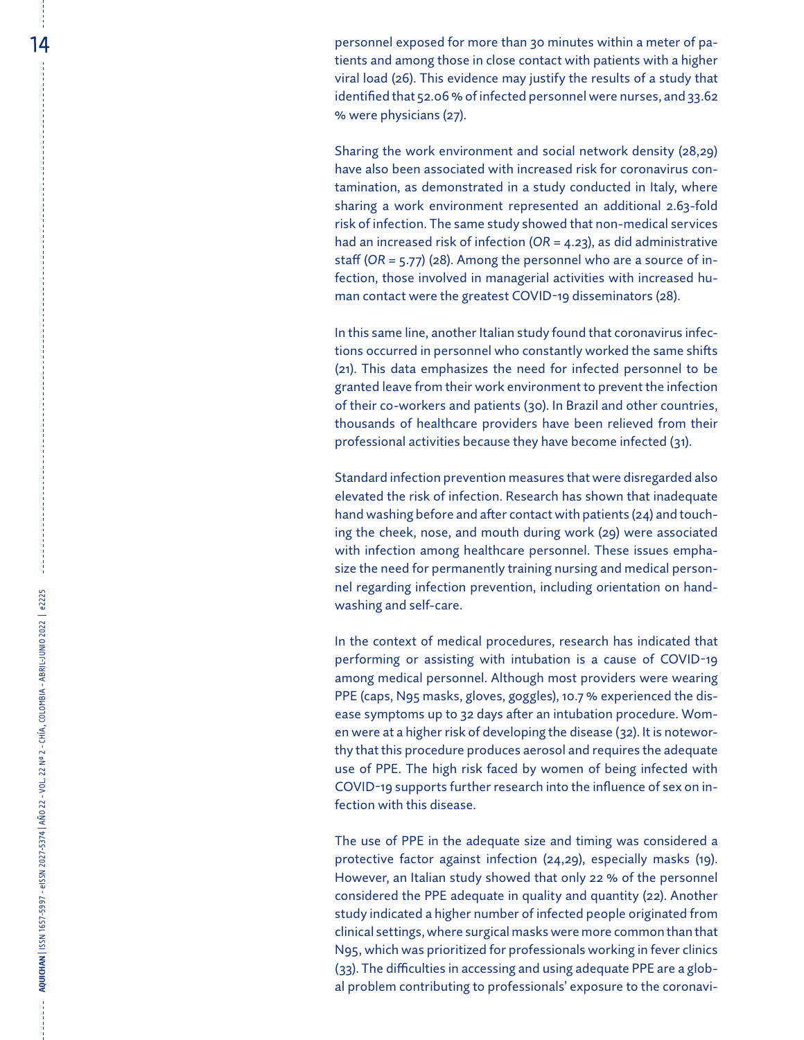**14 here is a constant of participal exposed for more than 30 minutes within a meter of pa**tients and among those in close contact with patients with a higher viral load (26). This evidence may justify the results of a study that identified that 52.06 % of infected personnel were nurses, and 33.62 % were physicians (27).

> Sharing the work environment and social network density (28,29) have also been associated with increased risk for coronavirus con tamination, as demonstrated in a study conducted in Italy, where sharing a work environment represented an additional 2.63-fold risk of infection. The same study showed that non-medical services had an increased risk of infection (*OR* = 4.23), as did administrative staff (*OR* = 5.77) (28). Among the personnel who are a source of in fection, those involved in managerial activities with increased hu man contact were the greatest COVID-19 disseminators (28).

> In this same line, another Italian study found that coronavirus infec tions occurred in personnel who constantly worked the same shifts (21). This data emphasizes the need for infected personnel to be granted leave from their work environment to prevent the infection of their co-workers and patients (30). In Brazil and other countries, thousands of healthcare providers have been relieved from their professional activities because they have become infected (31).

> Standard infection prevention measures that were disregarded also elevated the risk of infection. Research has shown that inadequate hand washing before and after contact with patients (24) and touch ing the cheek, nose, and mouth during work (29) were associated with infection among healthcare personnel. These issues empha size the need for permanently training nursing and medical person nel regarding infection prevention, including orientation on hand washing and self-care.

> In the context of medical procedures, research has indicated that performing or assisting with intubation is a cause of COVID-19 among medical personnel. Although most providers were wearing PPE (caps, N95 masks, gloves, goggles), 10.7 % experienced the dis ease symptoms up to 32 days after an intubation procedure. Wom en were at a higher risk of developing the disease (32). It is notewor thy that this procedure produces aerosol and requires the adequate use of PPE. The high risk faced by women of being infected with COVID-19 supports further research into the influence of sex on in fection with this disease.

> The use of PPE in the adequate size and timing was considered a protective factor against infection (24,29), especially masks (19). However, an Italian study showed that only 22 % of the personnel considered the PPE adequate in quality and quantity (22). Another study indicated a higher number of infected people originated from clinical settings, where surgical masks were more common than that N95, which was prioritized for professionals working in fever clinics (33). The difficulties in accessing and using adequate PPE are a glob al problem contributing to professionals' exposure to the coronavi -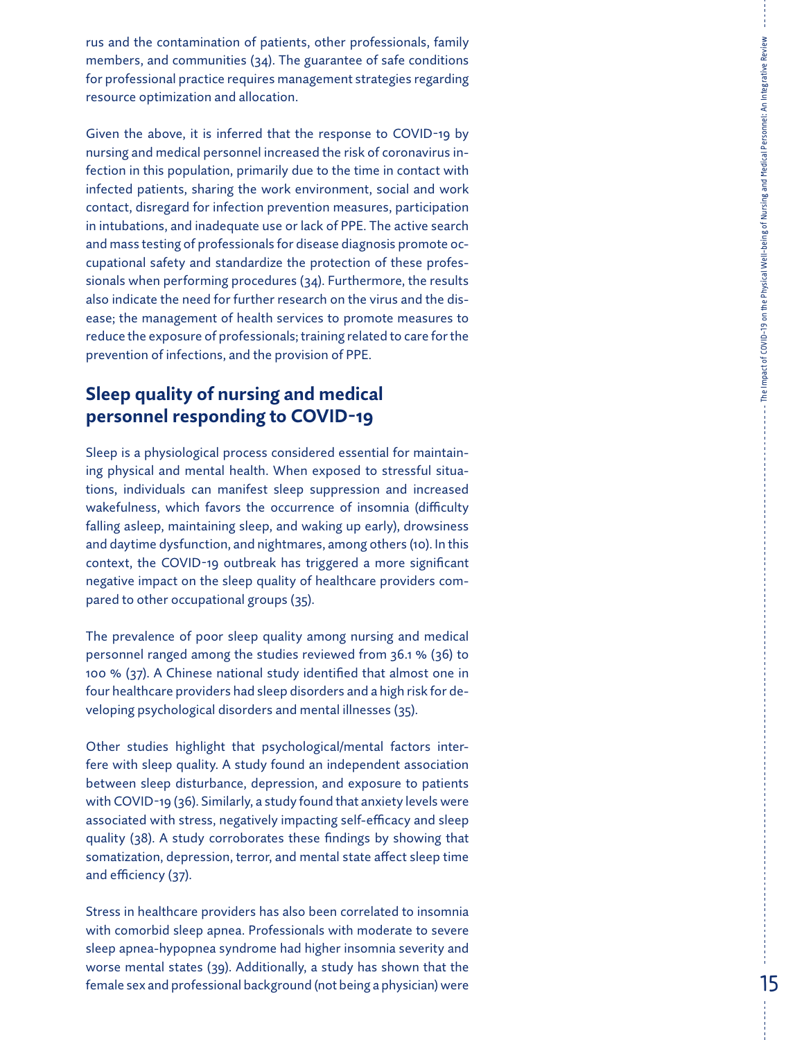rus and the contamination of patients, other professionals, family members, and communities (34). The guarantee of safe conditions for professional practice requires management strategies regarding resource optimization and allocation.

Given the above, it is inferred that the response to COVID-19 by nursing and medical personnel increased the risk of coronavirus in fection in this population, primarily due to the time in contact with infected patients, sharing the work environment, social and work contact, disregard for infection prevention measures, participation in intubations, and inadequate use or lack of PPE. The active search and mass testing of professionals for disease diagnosis promote oc cupational safety and standardize the protection of these profes sionals when performing procedures (34). Furthermore, the results also indicate the need for further research on the virus and the dis ease; the management of health services to promote measures to reduce the exposure of professionals; training related to care for the prevention of infections, and the provision of PPE.

## **Sleep quality of nursing and medical personnel responding to COVID-19**

Sleep is a physiological process considered essential for maintain ing physical and mental health. When exposed to stressful situa tions, individuals can manifest sleep suppression and increased wakefulness, which favors the occurrence of insomnia (difficulty falling asleep, maintaining sleep, and waking up early), drowsiness and daytime dysfunction, and nightmares, among others (10). In this context, the COVID-19 outbreak has triggered a more significant negative impact on the sleep quality of healthcare providers com pared to other occupational groups (35).

The prevalence of poor sleep quality among nursing and medical personnel ranged among the studies reviewed from 36.1 % (36) to 100 % (37). A Chinese national study identified that almost one in four healthcare providers had sleep disorders and a high risk for de veloping psychological disorders and mental illnesses (35).

Other studies highlight that psychological/mental factors inter fere with sleep quality. A study found an independent association between sleep disturbance, depression, and exposure to patients with COVID-19 (36). Similarly, a study found that anxiety levels were associated with stress, negatively impacting self-efficacy and sleep quality (38). A study corroborates these findings by showing that somatization, depression, terror, and mental state affect sleep time and efficiency (37).

Stress in healthcare providers has also been correlated to insomnia with comorbid sleep apnea. Professionals with moderate to severe sleep apnea-hypopnea syndrome had higher insomnia severity and worse mental states (39). Additionally, a study has shown that the female sex and professional background (not being a physician) were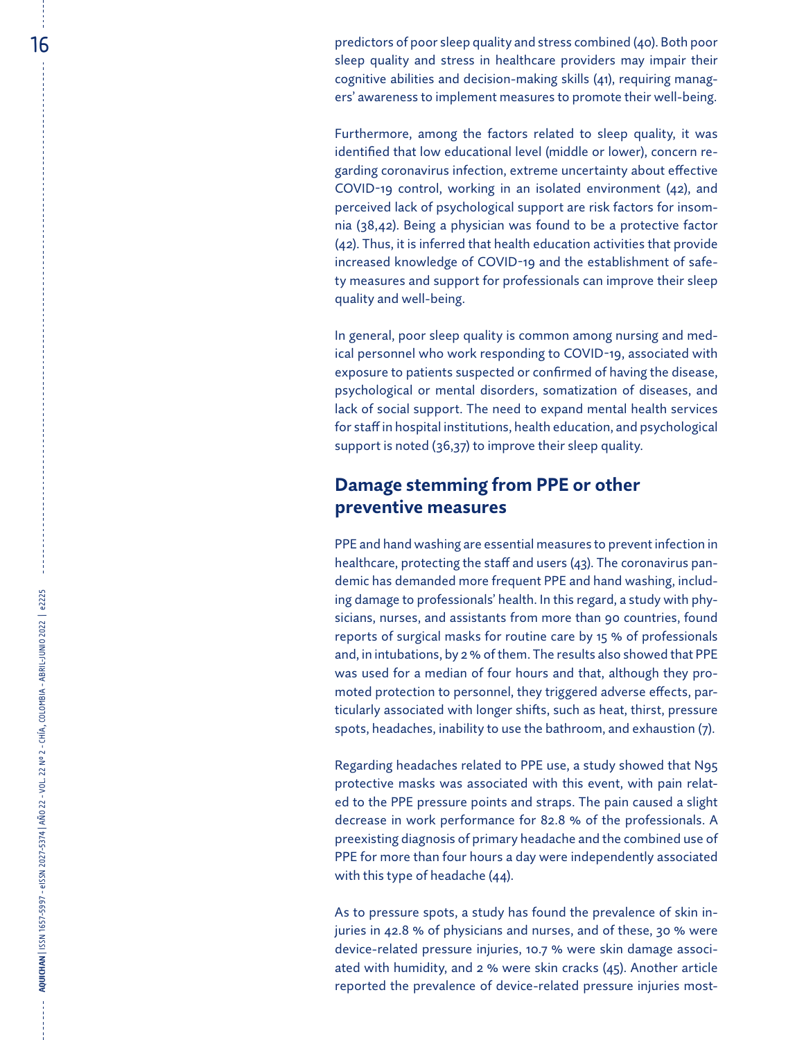$16 \,$  and  $16 \,$  predictors of poor sleep quality and stress combined (40). Both poor sleep quality and stress in healthcare providers may impair their cognitive abilities and decision-making skills (41), requiring manag ers' awareness to implement measures to promote their well-being.

> Furthermore, among the factors related to sleep quality, it was identified that low educational level (middle or lower), concern re garding coronavirus infection, extreme uncertainty about effective COVID-19 control, working in an isolated environment (42), and perceived lack of psychological support are risk factors for insom nia (38,42). Being a physician was found to be a protective factor (42). Thus, it is inferred that health education activities that provide increased knowledge of COVID-19 and the establishment of safe ty measures and support for professionals can improve their sleep quality and well-being.

> In general, poor sleep quality is common among nursing and med ical personnel who work responding to COVID-19, associated with exposure to patients suspected or confirmed of having the disease, psychological or mental disorders, somatization of diseases, and lack of social support. The need to expand mental health services for staff in hospital institutions, health education, and psychological support is noted (36,37) to improve their sleep quality.

## **Damage stemming from PPE or other preventive measures**

PPE and hand washing are essential measures to prevent infection in healthcare, protecting the staff and users (43). The coronavirus pan demic has demanded more frequent PPE and hand washing, includ ing damage to professionals' health. In this regard, a study with phy sicians, nurses, and assistants from more than 90 countries, found reports of surgical masks for routine care by 15 % of professionals and, in intubations, by 2 % of them. The results also showed that PPE was used for a median of four hours and that, although they pro moted protection to personnel, they triggered adverse effects, par ticularly associated with longer shifts, such as heat, thirst, pressure spots, headaches, inability to use the bathroom, and exhaustion (7).

Regarding headaches related to PPE use, a study showed that N95 protective masks was associated with this event, with pain relat ed to the PPE pressure points and straps. The pain caused a slight decrease in work performance for 82.8 % of the professionals. A preexisting diagnosis of primary headache and the combined use of PPE for more than four hours a day were independently associated with this type of headache (44).

As to pressure spots, a study has found the prevalence of skin in juries in 42.8 % of physicians and nurses, and of these, 30 % were device-related pressure injuries, 10.7 % were skin damage associ ated with humidity, and 2 % were skin cracks (45). Another article reported the prevalence of device-related pressure injuries most -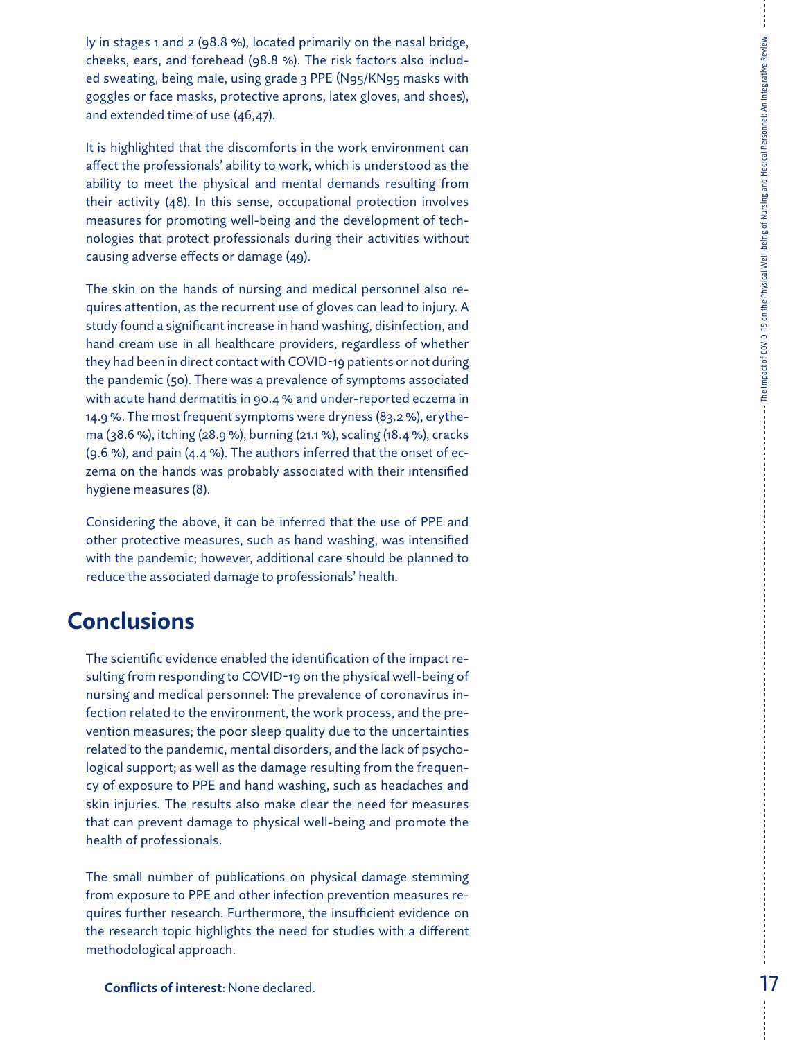ly in stages 1 and 2 (98.8 %), located primarily on the nasal bridge, cheeks, ears, and forehead (98.8 %). The risk factors also includ ed sweating, being male, using grade 3 PPE (N95/KN95 masks with goggles or face masks, protective aprons, latex gloves, and shoes), and extended time of use (46,47).

It is highlighted that the discomforts in the work environment can affect the professionals' ability to work, which is understood as the ability to meet the physical and mental demands resulting from their activity (48). In this sense, occupational protection involves measures for promoting well-being and the development of tech nologies that protect professionals during their activities without causing adverse effects or damage (49).

The skin on the hands of nursing and medical personnel also re quires attention, as the recurrent use of gloves can lead to injury. A study found a significant increase in hand washing, disinfection, and hand cream use in all healthcare providers, regardless of whether they had been in direct contact with COVID-19 patients or not during the pandemic (50). There was a prevalence of symptoms associated with acute hand dermatitis in 90.4 % and under-reported eczema in 14.9 %. The most frequent symptoms were dryness (83.2 %), erythe ma (38.6 %), itching (28.9 %), burning (21.1 %), scaling (18.4 %), cracks (9.6 %), and pain (4.4 %). The authors inferred that the onset of ec zema on the hands was probably associated with their intensified hygiene measures (8).

Considering the above, it can be inferred that the use of PPE and other protective measures, such as hand washing, was intensified with the pandemic; however, additional care should be planned to reduce the associated damage to professionals' health.

## **Conclusions**

The scientific evidence enabled the identification of the impact re sulting from responding to COVID-19 on the physical well-being of nursing and medical personnel: The prevalence of coronavirus in fection related to the environment, the work process, and the pre vention measures; the poor sleep quality due to the uncertainties related to the pandemic, mental disorders, and the lack of psycho logical support; as well as the damage resulting from the frequen cy of exposure to PPE and hand washing, such as headaches and skin injuries. The results also make clear the need for measures that can prevent damage to physical well-being and promote the health of professionals.

The small number of publications on physical damage stemming from exposure to PPE and other infection prevention measures re quires further research. Furthermore, the insufficient evidence on the research topic highlights the need for studies with a different methodological approach.

The Impact of COVID-19 on the Physical Well-being of Nursing and Medical Personnel: An Integrative Review

The Impact of COVID-19 on the Physical Well-being of Nursing and Medical Personnel: An Integrative Review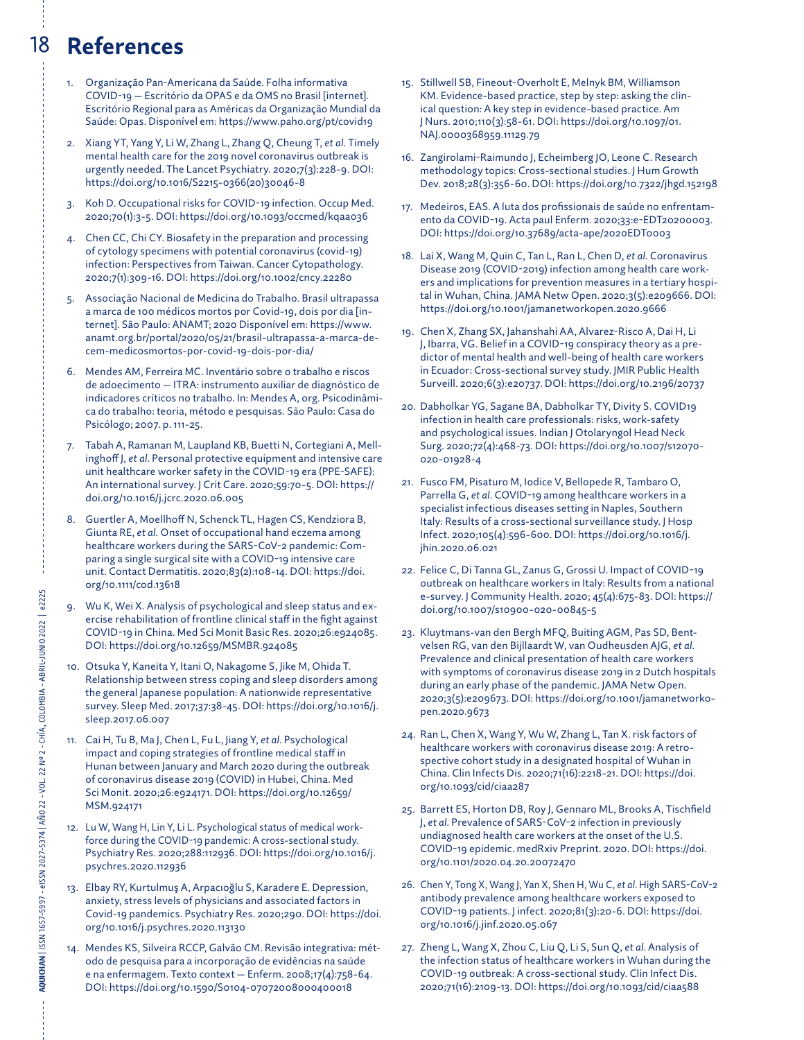## 18 **References**

- 1. Organização Pan-Americana da Saúde. Folha informativa COVID-19 — Escritório da OPAS e da OMS no Brasil [internet]. Escritório Regional para as Américas da Organização Mundial da Saúde: Opas. Disponível em: <https://www.paho.org/pt/covid19>
- 2. Xiang YT, Yang Y, Li W, Zhang L, Zhang Q, Cheung T, *et al*. Timely mental health care for the 2019 novel coronavirus outbreak is urgently needed. The Lancet Psychiatry. 2020;7(3):228-9. DOI: [https://doi.org/10.1016/S2215-0366\(20\)30046-8](https://doi.org/10.1016/S2215-0366(20)30046-8)
- 3. Koh D. Occupational risks for COVID-19 infection. Occup Med. 2020;70(1):3-5. DOI: <https://doi.org/10.1093/occmed/kqaa036>
- 4. Chen CC, Chi CY. Biosafety in the preparation and processing of cytology specimens with potential coronavirus (covid-19) infection: Perspectives from Taiwan. Cancer Cytopathology. 2020;7(1):309-16. DOI: <https://doi.org/10.1002/cncy.22280>
- 5. Associação Nacional de Medicina do Trabalho. Brasil ultrapassa a marca de 100 médicos mortos por Covid-19, dois por dia [internet]. São Paulo: ANAMT; 2020 Disponível em: [https://www.](https://www.anamt.org.br/portal/2020/05/21/brasil-ultrapassa-a-marca-de-cem-medicosmortos-por-covid-19-dois-por-dia/) [anamt.org.br/portal/2020/05/21/brasil-ultrapassa-a-marca-de](https://www.anamt.org.br/portal/2020/05/21/brasil-ultrapassa-a-marca-de-cem-medicosmortos-por-covid-19-dois-por-dia/)[cem-medicosmortos-por-covid-19-dois-por-dia/](https://www.anamt.org.br/portal/2020/05/21/brasil-ultrapassa-a-marca-de-cem-medicosmortos-por-covid-19-dois-por-dia/)
- 6. Mendes AM, Ferreira MC. Inventário sobre o trabalho e riscos de adoecimento — ITRA: instrumento auxiliar de diagnóstico de indicadores críticos no trabalho. In: Mendes A, org. Psicodinâmica do trabalho: teoria, método e pesquisas. São Paulo: Casa do Psicólogo; 2007. p. 111-25.
- 7. Tabah A, Ramanan M, Laupland KB, Buetti N, Cortegiani A, Mellinghoff J, *et al*. Personal protective equipment and intensive care unit healthcare worker safety in the COVID-19 era (PPE-SAFE): An international survey. J Crit Care. 2020;59:70-5. DOI: [https://](https://doi.org/10.1016/j.jcrc.2020.06.005) [doi.org/10.1016/j.jcrc.2020.06.005](https://doi.org/10.1016/j.jcrc.2020.06.005)
- 8. Guertler A, Moellhoff N, Schenck TL, Hagen CS, Kendziora B, Giunta RE, *et al.* Onset of occupational hand eczema among healthcare workers during the SARS-CoV-2 pandemic: Comparing a single surgical site with a COVID-19 intensive care unit. Contact Dermatitis. 2020;83(2):108-14. DOI: [https://doi.](https://doi.org/10.1111/cod.13618) [org/10.1111/cod.13618](https://doi.org/10.1111/cod.13618)
- 9. Wu K, Wei X. Analysis of psychological and sleep status and exercise rehabilitation of frontline clinical staff in the fight against COVID-19 in China. Med Sci Monit Basic Res. 2020;26:e924085. DOI:<https://doi.org/10.12659/MSMBR.924085>
- 10. Otsuka Y, Kaneita Y, Itani O, Nakagome S, Jike M, Ohida T. Relationship between stress coping and sleep disorders among the general Japanese population: A nationwide representative survey. Sleep Med. 2017;37:38-45. DOI: [https://doi.org/10.1016/j.](https://doi.org/10.1016/j.sleep.2017.06.007) [sleep.2017.06.007](https://doi.org/10.1016/j.sleep.2017.06.007)
- 11. Cai H, Tu B, Ma J, Chen L, Fu L, Jiang Y, *et al*. Psychological impact and coping strategies of frontline medical staff in Hunan between January and March 2020 during the outbreak of coronavirus disease 2019 (COVID) in Hubei, China. Med Sci Monit. 2020;26:e924171. DOI: [https://doi.org/10.12659/](https://doi.org/10.12659/MSM.924171) [MSM.924171](https://doi.org/10.12659/MSM.924171)
- 12. Lu W, Wang H, Lin Y, Li L. Psychological status of medical workforce during the COVID-19 pandemic: A cross-sectional study. Psychiatry Res. 2020;288:112936. DOI: [https://doi.org/10.1016/j.](https://doi.org/10.1016/j.psychres.2020.112936) [psychres.2020.112936](https://doi.org/10.1016/j.psychres.2020.112936)
- 13. Elbay RY, Kurtulmuş A, Arpacıoğlu S, Karadere E. Depression, anxiety, stress levels of physicians and associated factors in Covid-19 pandemics. Psychiatry Res. 2020;290. DOI: [https://doi.](https://doi.org/10.1016/j.psychres.2020.113130) [org/10.1016/j.psychres.2020.113130](https://doi.org/10.1016/j.psychres.2020.113130)
- 14. Mendes KS, Silveira RCCP, Galvão CM. Revisão integrativa: método de pesquisa para a incorporação de evidências na saúde e na enfermagem. Texto context — Enferm. 2008;17(4):758-64. DOI:<https://doi.org/10.1590/S0104-07072008000400018>
- 15. Stillwell SB, Fineout-Overholt E, Melnyk BM, Williamson KM. Evidence-based practice, step by step: asking the clinical question: A key step in evidence-based practice. Am J Nurs. 2010;110(3):58-61. DOI: [https://doi.org/10.1097/01.](https://doi.org/10.1097/01.NAJ.0000368959.11129.79) [NAJ.0000368959.11129.79](https://doi.org/10.1097/01.NAJ.0000368959.11129.79)
- 16. Zangirolami-Raimundo J, Echeimberg JO, Leone C. Research methodology topics: Cross-sectional studies. J Hum Growth Dev. 2018;28(3):356-60. DOI: <https://doi.org/10.7322/jhgd.152198>
- 17. Medeiros, EAS. A luta dos profissionais de saúde no enfrentamento da COVID-19. Acta paul Enferm. 2020;33:e-EDT20200003. DOI:<https://doi.org/10.37689/acta-ape/2020EDT0003>
- 18. Lai X, Wang M, Quin C, Tan L, Ran L, Chen D, *et al*. Coronavirus Disease 2019 (COVID-2019) infection among health care workers and implications for prevention measures in a tertiary hospital in Wuhan, China. JAMA Netw Open. 2020;3(5):e209666. DOI: <https://doi.org/10.1001/jamanetworkopen.2020.9666>
- 19. Chen X, Zhang SX, Jahanshahi AA, Alvarez-Risco A, Dai H, Li J, Ibarra, VG. Belief in a COVID-19 conspiracy theory as a predictor of mental health and well-being of health care workers in Ecuador: Cross-sectional survey study. JMIR Public Health Surveill. 2020;6(3):e20737. DOI:<https://doi.org/10.2196/20737>
- 20. Dabholkar YG, Sagane BA, Dabholkar TY, Divity S. COVID19 infection in health care professionals: risks, work-safety and psychological issues. Indian J Otolaryngol Head Neck Surg. 2020;72(4):468-73. DOI: [https://doi.org/10.1007/s12070-](https://doi.org/10.1007/s12070-020-01928-4) [020-01928-4](https://doi.org/10.1007/s12070-020-01928-4)
- 21. Fusco FM, Pisaturo M, Iodice V, Bellopede R, Tambaro O, Parrella G, *et al*. COVID-19 among healthcare workers in a specialist infectious diseases setting in Naples, Southern Italy: Results of a cross-sectional surveillance study. J Hosp Infect. 2020;105(4):596-600. DOI: [https://doi.org/10.1016/j.](https://doi.org/10.1016/j.jhin.2020.06.021) [jhin.2020.06.021](https://doi.org/10.1016/j.jhin.2020.06.021)
- 22. Felice C, Di Tanna GL, Zanus G, Grossi U. Impact of COVID-19 outbreak on healthcare workers in Italy: Results from a national e-survey. J Community Health. 2020; 45(4):675-83. DOI: [https://](https://doi.org/10.1007/s10900-020-00845-5) [doi.org/10.1007/s10900-020-00845-5](https://doi.org/10.1007/s10900-020-00845-5)
- 23. Kluytmans-van den Bergh MFQ, Buiting AGM, Pas SD, Bentvelsen RG, van den Bijllaardt W, van Oudheusden AJG, *et al*. Prevalence and clinical presentation of health care workers with symptoms of coronavirus disease 2019 in 2 Dutch hospitals during an early phase of the pandemic. JAMA Netw Open. 2020;3(5):e209673. DOI: [https://doi.org/10.1001/jamanetworko](https://doi.org/10.1001/jamanetworkopen.2020.9673)[pen.2020.9673](https://doi.org/10.1001/jamanetworkopen.2020.9673)
- 24. Ran L, Chen X, Wang Y, Wu W, Zhang L, Tan X. risk factors of healthcare workers with coronavirus disease 2019: A retrospective cohort study in a designated hospital of Wuhan in China. Clin Infects Dis. 2020;71(16):2218-21. DOI: [https://doi.](https://doi.org/10.1093/cid/ciaa287) [org/10.1093/cid/ciaa287](https://doi.org/10.1093/cid/ciaa287)
- 25. Barrett ES, Horton DB, Roy J, Gennaro ML, Brooks A, Tischfield J, *et al*. Prevalence of SARS-CoV-2 infection in previously undiagnosed health care workers at the onset of the U.S. COVID-19 epidemic. medRxiv Preprint. 2020. DOI: [https://doi.](https://doi.org/10.1101/2020.04.20.20072470) [org/10.1101/2020.04.20.20072470](https://doi.org/10.1101/2020.04.20.20072470)
- 26. Chen Y, Tong X, Wang J, Yan X, Shen H, Wu C, *et al*. High SARS-CoV-2 antibody prevalence among healthcare workers exposed to COVID-19 patients. J infect. 2020;81(3):20-6. DOI: [https://doi.](https://doi.org/10.1016/j.jinf.2020.05.067) [org/10.1016/j.jinf.2020.05.067](https://doi.org/10.1016/j.jinf.2020.05.067)
- 27. Zheng L, Wang X, Zhou C, Liu Q, Li S, Sun Q, *et al*. Analysis of the infection status of healthcare workers in Wuhan during the COVID-19 outbreak: A cross-sectional study. Clin Infect Dis. 2020;71(16):2109-13. DOI:<https://doi.org/10.1093/cid/ciaa588>